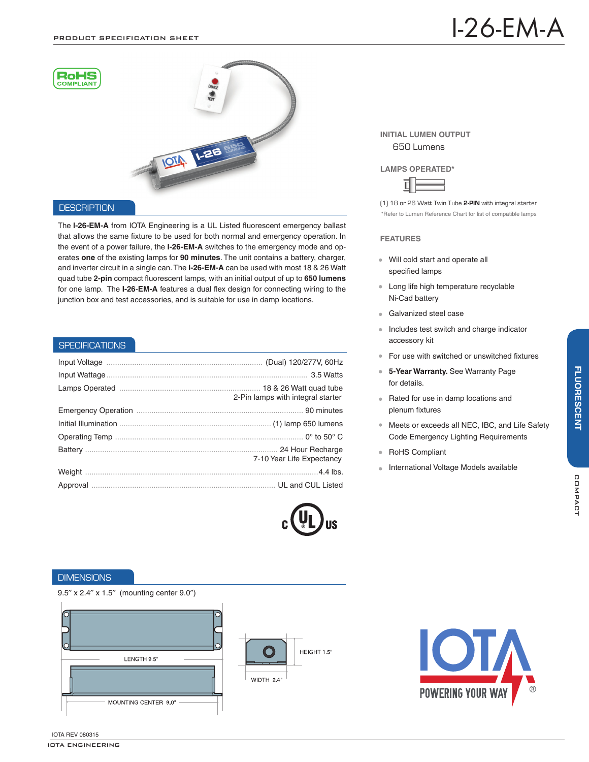

## **DESCRIPTION**

The **I-26-EM-A** from IOTA Engineering is a UL Listed fluorescent emergency ballast that allows the same fixture to be used for both normal and emergency operation. In the event of a power failure, the **I-26-EM-A** switches to the emergency mode and operates **one** of the existing lamps for **90 minutes**. The unit contains a battery, charger, and inverter circuit in a single can. The **I-26-EM-A** can be used with most 18 & 26 Watt quad tube **2-pin** compact fluorescent lamps, with an initial output of up to **650 lumens** for one lamp. The **I-26**-**EM-A** features a dual flex design for connecting wiring to the junction box and test accessories, and is suitable for use in damp locations.

### **SPECIFICATIONS**

| 2-Pin lamps with integral starter |
|-----------------------------------|
|                                   |
|                                   |
|                                   |
| 7-10 Year Life Expectancy         |
|                                   |
|                                   |



### **INITIAL LUMEN OUTPUT** 650 Lumens

#### **LAMPS OPERATED\***



\*Refer to Lumen Reference Chart for list of compatible lamps (1) 18 or 26 Watt Twin Tube **2-PIN** with integral starter

### **FEATURES**

- Will cold start and operate all specified lamps
- Long life high temperature recyclable Ni-Cad battery
- **Galvanized steel case**
- Includes test switch and charge indicator accessory kit
- For use with switched or unswitched fixtures
- $\bullet$ **5-Year Warranty.** See Warranty Page for details.
- Rated for use in damp locations and plenum fixtures
- Meets or exceeds all NEC, IBC, and Life Safety Code Emergency Lighting Requirements
- RoHS Compliant
- International Voltage Models available $\bullet$

### **DIMENSIONS**

9.5″ x 2.4″ x 1.5″ (mounting center 9.0″)